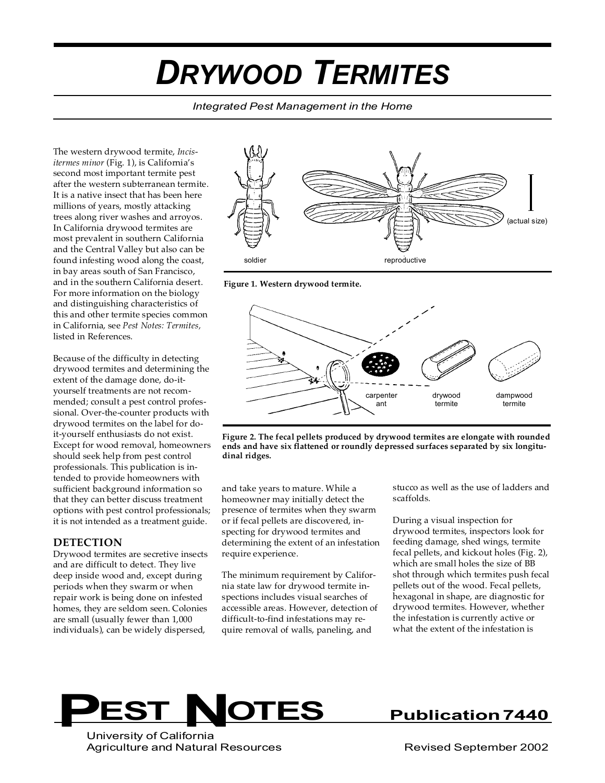# *DRYWOOD TERMITES*

*Integrated Pest Management in the Home*

The western drywood termite, *Incisitermes minor* (Fig. 1), is California's second most important termite pest after the western subterranean termite. It is a native insect that has been here millions of years, mostly attacking trees along river washes and arroyos. In California drywood termites are most prevalent in southern California and the Central Valley but also can be found infesting wood along the coast, in bay areas south of San Francisco, and in the southern California desert. For more information on the biology and distinguishing characteristics of this and other termite species common in California, see *Pest Notes: Termites,* listed in References.

Because of the difficulty in detecting drywood termites and determining the extent of the damage done, do-ityourself treatments are not recommended; consult a pest control professional. Over-the-counter products with drywood termites on the label for doit-yourself enthusiasts do not exist. Except for wood removal, homeowners should seek help from pest control professionals. This publication is intended to provide homeowners with sufficient background information so that they can better discuss treatment options with pest control professionals; it is not intended as a treatment guide.

#### **DETECTION**

Drywood termites are secretive insects and are difficult to detect. They live deep inside wood and, except during periods when they swarm or when repair work is being done on infested homes, they are seldom seen. Colonies are small (usually fewer than 1,000 individuals), can be widely dispersed,



**Figure 1. Western drywood termite.**



**Figure 2. The fecal pellets produced by drywood termites are elongate with rounded ends and have six flattened or roundly depressed surfaces separated by six longitudinal ridges.**

and take years to mature. While a homeowner may initially detect the presence of termites when they swarm or if fecal pellets are discovered, inspecting for drywood termites and determining the extent of an infestation require experience.

The minimum requirement by California state law for drywood termite inspections includes visual searches of accessible areas. However, detection of difficult-to-find infestations may require removal of walls, paneling, and

stucco as well as the use of ladders and scaffolds.

During a visual inspection for drywood termites, inspectors look for feeding damage, shed wings, termite fecal pellets, and kickout holes (Fig. 2), which are small holes the size of BB shot through which termites push fecal pellets out of the wood. Fecal pellets, hexagonal in shape, are diagnostic for drywood termites. However, whether the infestation is currently active or what the extent of the infestation is



University of California Agriculture and Natural Resources The Controller Revised September 2002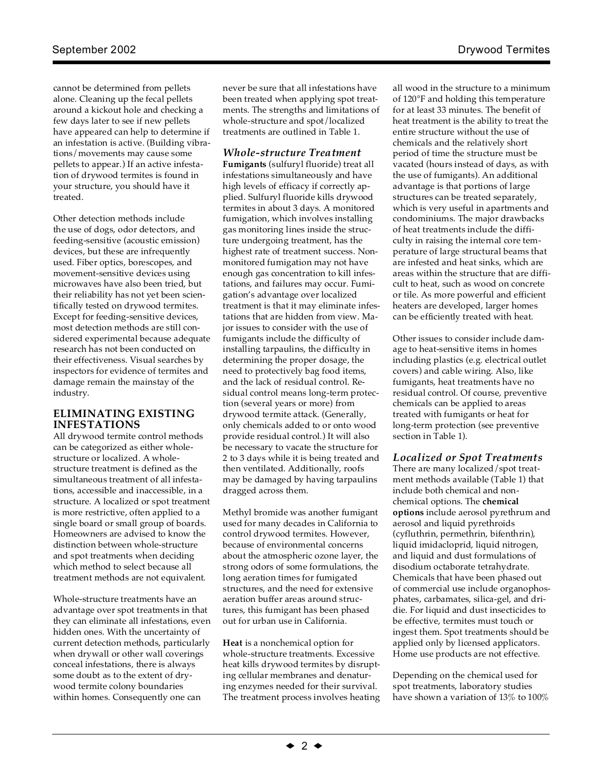cannot be determined from pellets alone. Cleaning up the fecal pellets around a kickout hole and checking a few days later to see if new pellets have appeared can help to determine if an infestation is active. (Building vibrations/movements may cause some pellets to appear.) If an active infestation of drywood termites is found in your structure, you should have it treated.

Other detection methods include the use of dogs, odor detectors, and feeding-sensitive (acoustic emission) devices, but these are infrequently used. Fiber optics, borescopes, and movement-sensitive devices using microwaves have also been tried, but their reliability has not yet been scientifically tested on drywood termites. Except for feeding-sensitive devices, most detection methods are still considered experimental because adequate research has not been conducted on their effectiveness. Visual searches by inspectors for evidence of termites and damage remain the mainstay of the industry.

#### **ELIMINATING EXISTING INFESTATIONS**

All drywood termite control methods can be categorized as either wholestructure or localized. A wholestructure treatment is defined as the simultaneous treatment of all infestations, accessible and inaccessible, in a structure. A localized or spot treatment is more restrictive, often applied to a single board or small group of boards. Homeowners are advised to know the distinction between whole-structure and spot treatments when deciding which method to select because all treatment methods are not equivalent.

Whole-structure treatments have an advantage over spot treatments in that they can eliminate all infestations, even hidden ones. With the uncertainty of current detection methods, particularly when drywall or other wall coverings conceal infestations, there is always some doubt as to the extent of drywood termite colony boundaries within homes. Consequently one can

never be sure that all infestations have been treated when applying spot treatments. The strengths and limitations of whole-structure and spot/localized treatments are outlined in Table 1.

## *Whole-structure Treatment*

**Fumigants** (sulfuryl fluoride) treat all infestations simultaneously and have high levels of efficacy if correctly applied. Sulfuryl fluoride kills drywood termites in about 3 days. A monitored fumigation, which involves installing gas monitoring lines inside the structure undergoing treatment, has the highest rate of treatment success. Nonmonitored fumigation may not have enough gas concentration to kill infestations, and failures may occur. Fumigation's advantage over localized treatment is that it may eliminate infestations that are hidden from view. Major issues to consider with the use of fumigants include the difficulty of installing tarpaulins, the difficulty in determining the proper dosage, the need to protectively bag food items, and the lack of residual control. Residual control means long-term protection (several years or more) from drywood termite attack. (Generally, only chemicals added to or onto wood provide residual control.) It will also be necessary to vacate the structure for 2 to 3 days while it is being treated and then ventilated. Additionally, roofs may be damaged by having tarpaulins dragged across them.

Methyl bromide was another fumigant used for many decades in California to control drywood termites. However, because of environmental concerns about the atmospheric ozone layer, the strong odors of some formulations, the long aeration times for fumigated structures, and the need for extensive aeration buffer areas around structures, this fumigant has been phased out for urban use in California.

**Heat** is a nonchemical option for whole-structure treatments. Excessive heat kills drywood termites by disrupting cellular membranes and denaturing enzymes needed for their survival. The treatment process involves heating all wood in the structure to a minimum of 120°F and holding this temperature for at least 33 minutes. The benefit of heat treatment is the ability to treat the entire structure without the use of chemicals and the relatively short period of time the structure must be vacated (hours instead of days, as with the use of fumigants). An additional advantage is that portions of large structures can be treated separately, which is very useful in apartments and condominiums. The major drawbacks of heat treatments include the difficulty in raising the internal core temperature of large structural beams that are infested and heat sinks, which are areas within the structure that are difficult to heat, such as wood on concrete or tile. As more powerful and efficient heaters are developed, larger homes can be efficiently treated with heat.

Other issues to consider include damage to heat-sensitive items in homes including plastics (e.g. electrical outlet covers) and cable wiring. Also, like fumigants, heat treatments have no residual control. Of course, preventive chemicals can be applied to areas treated with fumigants or heat for long-term protection (see preventive section in Table 1).

#### *Localized or Spot Treatments*

There are many localized/spot treatment methods available (Table 1) that include both chemical and nonchemical options. The **chemical options** include aerosol pyrethrum and aerosol and liquid pyrethroids (cyfluthrin, permethrin, bifenthrin), liquid imidacloprid, liquid nitrogen, and liquid and dust formulations of disodium octaborate tetrahydrate. Chemicals that have been phased out of commercial use include organophosphates, carbamates, silica-gel, and dridie. For liquid and dust insecticides to be effective, termites must touch or ingest them. Spot treatments should be applied only by licensed applicators. Home use products are not effective.

Depending on the chemical used for spot treatments, laboratory studies have shown a variation of 13% to 100%

 $\div$  2  $\div$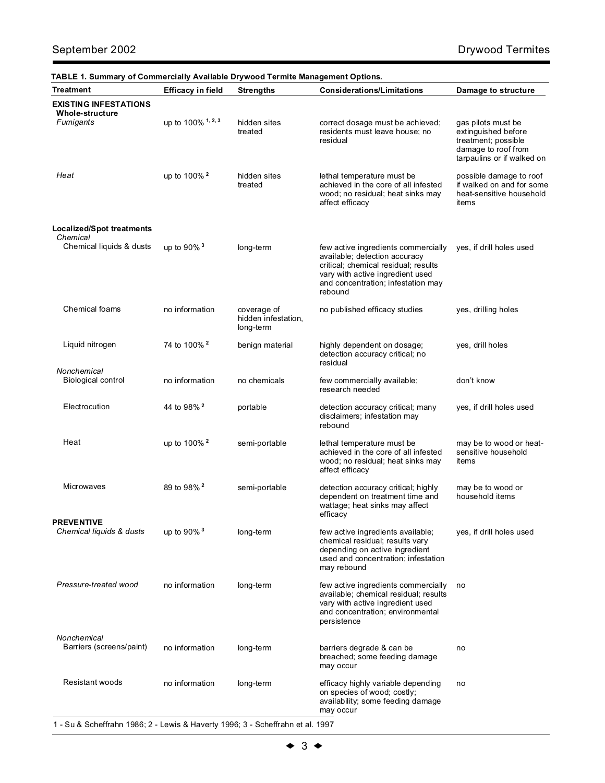| Treatment                                    | <b>Efficacy in field</b> | <b>Strengths</b>                                | <b>Considerations/Limitations</b>                                                                                                                                                                 | Damage to structure                                                                                                   |
|----------------------------------------------|--------------------------|-------------------------------------------------|---------------------------------------------------------------------------------------------------------------------------------------------------------------------------------------------------|-----------------------------------------------------------------------------------------------------------------------|
| <b>EXISTING INFESTATIONS</b>                 |                          |                                                 |                                                                                                                                                                                                   |                                                                                                                       |
| <b>Whole-structure</b><br>Fumigants          | up to 100% 1, 2, 3       | hidden sites<br>treated                         | correct dosage must be achieved;<br>residents must leave house; no<br>residual                                                                                                                    | gas pilots must be<br>extinguished before<br>treatment; possible<br>damage to roof from<br>tarpaulins or if walked on |
| Heat                                         | up to 100% <sup>2</sup>  | hidden sites<br>treated                         | lethal temperature must be<br>achieved in the core of all infested<br>wood; no residual; heat sinks may<br>affect efficacy                                                                        | possible damage to roof<br>if walked on and for some<br>heat-sensitive household<br>items                             |
| <b>Localized/Spot treatments</b><br>Chemical |                          |                                                 |                                                                                                                                                                                                   |                                                                                                                       |
| Chemical liquids & dusts                     | up to 90% <sup>3</sup>   | long-term                                       | few active ingredients commercially<br>available; detection accuracy<br>critical; chemical residual; results<br>vary with active ingredient used<br>and concentration; infestation may<br>rebound | yes, if drill holes used                                                                                              |
| <b>Chemical foams</b>                        | no information           | coverage of<br>hidden infestation,<br>long-term | no published efficacy studies                                                                                                                                                                     | yes, drilling holes                                                                                                   |
| Liquid nitrogen                              | 74 to 100% <sup>2</sup>  | benign material                                 | highly dependent on dosage;<br>detection accuracy critical; no<br>residual                                                                                                                        | yes, drill holes                                                                                                      |
| Nonchemical<br><b>Biological control</b>     | no information           | no chemicals                                    | few commercially available;<br>research needed                                                                                                                                                    | don't know                                                                                                            |
| Electrocution                                | 44 to 98% <sup>2</sup>   | portable                                        | detection accuracy critical; many<br>disclaimers; infestation may<br>rebound                                                                                                                      | yes, if drill holes used                                                                                              |
| Heat                                         | up to 100% <sup>2</sup>  | semi-portable                                   | lethal temperature must be<br>achieved in the core of all infested<br>wood; no residual; heat sinks may<br>affect efficacy                                                                        | may be to wood or heat-<br>sensitive household<br>items                                                               |
| <b>Microwaves</b>                            | 89 to 98% <sup>2</sup>   | semi-portable                                   | detection accuracy critical; highly<br>dependent on treatment time and<br>wattage; heat sinks may affect<br>efficacy                                                                              | may be to wood or<br>household items                                                                                  |
| <b>PREVENTIVE</b>                            |                          |                                                 |                                                                                                                                                                                                   |                                                                                                                       |
| Chemical liquids & dusts                     | up to 90% <sup>3</sup>   | long-term                                       | few active ingredients available;<br>chemical residual; results vary<br>depending on active ingredient<br>used and concentration; infestation<br>may rebound                                      | yes, if drill holes used                                                                                              |
| Pressure-treated wood                        | no information           | long-term                                       | few active ingredients commercially<br>available; chemical residual; results<br>vary with active ingredient used<br>and concentration; environmental<br>persistence                               | no                                                                                                                    |
| Nonchemical<br>Barriers (screens/paint)      | no information           | long-term                                       | barriers degrade & can be<br>breached; some feeding damage<br>may occur                                                                                                                           | no                                                                                                                    |
| Resistant woods                              | no information           | long-term                                       | efficacy highly variable depending<br>on species of wood; costly;<br>availability; some feeding damage<br>may occur                                                                               | no                                                                                                                    |

1 - Su & Scheffrahn 1986; 2 - Lewis & Haverty 1996; 3 - Scheffrahn et al. 1997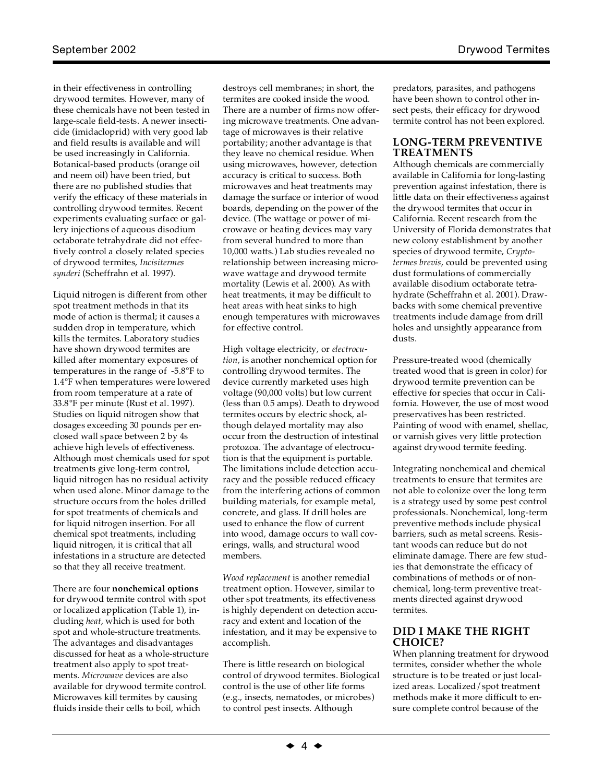in their effectiveness in controlling drywood termites. However, many of these chemicals have not been tested in large-scale field-tests. A newer insecticide (imidacloprid) with very good lab and field results is available and will be used increasingly in California. Botanical-based products (orange oil and neem oil) have been tried, but there are no published studies that verify the efficacy of these materials in controlling drywood termites. Recent experiments evaluating surface or gallery injections of aqueous disodium octaborate tetrahydrate did not effectively control a closely related species of drywood termites, *Incisitermes synderi* (Scheffrahn et al. 1997).

Liquid nitrogen is different from other spot treatment methods in that its mode of action is thermal; it causes a sudden drop in temperature, which kills the termites. Laboratory studies have shown drywood termites are killed after momentary exposures of temperatures in the range of -5.8°F to 1.4°F when temperatures were lowered from room temperature at a rate of 33.8°F per minute (Rust et al. 1997). Studies on liquid nitrogen show that dosages exceeding 30 pounds per enclosed wall space between 2 by 4s achieve high levels of effectiveness. Although most chemicals used for spot treatments give long-term control, liquid nitrogen has no residual activity when used alone. Minor damage to the structure occurs from the holes drilled for spot treatments of chemicals and for liquid nitrogen insertion. For all chemical spot treatments, including liquid nitrogen, it is critical that all infestations in a structure are detected so that they all receive treatment.

There are four **nonchemical options** for drywood termite control with spot or localized application (Table 1), including *heat*, which is used for both spot and whole-structure treatments. The advantages and disadvantages discussed for heat as a whole-structure treatment also apply to spot treatments. *Microwave* devices are also available for drywood termite control. Microwaves kill termites by causing fluids inside their cells to boil, which

destroys cell membranes; in short, the termites are cooked inside the wood. There are a number of firms now offering microwave treatments. One advantage of microwaves is their relative portability; another advantage is that they leave no chemical residue. When using microwaves, however, detection accuracy is critical to success. Both microwaves and heat treatments may damage the surface or interior of wood boards, depending on the power of the device. (The wattage or power of microwave or heating devices may vary from several hundred to more than 10,000 watts.) Lab studies revealed no relationship between increasing microwave wattage and drywood termite mortality (Lewis et al. 2000). As with heat treatments, it may be difficult to heat areas with heat sinks to high enough temperatures with microwaves for effective control.

High voltage electricity, or *electrocution*, is another nonchemical option for controlling drywood termites. The device currently marketed uses high voltage (90,000 volts) but low current (less than 0.5 amps). Death to drywood termites occurs by electric shock, although delayed mortality may also occur from the destruction of intestinal protozoa. The advantage of electrocution is that the equipment is portable. The limitations include detection accuracy and the possible reduced efficacy from the interfering actions of common building materials, for example metal, concrete, and glass. If drill holes are used to enhance the flow of current into wood, damage occurs to wall coverings, walls, and structural wood members.

*Wood replacement* is another remedial treatment option. However, similar to other spot treatments, its effectiveness is highly dependent on detection accuracy and extent and location of the infestation, and it may be expensive to accomplish.

There is little research on biological control of drywood termites. Biological control is the use of other life forms (e.g., insects, nematodes, or microbes) to control pest insects. Although

predators, parasites, and pathogens have been shown to control other insect pests, their efficacy for drywood termite control has not been explored.

#### **LONG-TERM PREVENTIVE TREATMENTS**

Although chemicals are commercially available in California for long-lasting prevention against infestation, there is little data on their effectiveness against the drywood termites that occur in California. Recent research from the University of Florida demonstrates that new colony establishment by another species of drywood termite, *Cryptotermes brevis*, could be prevented using dust formulations of commercially available disodium octaborate tetrahydrate (Scheffrahn et al. 2001). Drawbacks with some chemical preventive treatments include damage from drill holes and unsightly appearance from dusts.

Pressure-treated wood (chemically treated wood that is green in color) for drywood termite prevention can be effective for species that occur in California. However, the use of most wood preservatives has been restricted. Painting of wood with enamel, shellac, or varnish gives very little protection against drywood termite feeding.

Integrating nonchemical and chemical treatments to ensure that termites are not able to colonize over the long term is a strategy used by some pest control professionals. Nonchemical, long-term preventive methods include physical barriers, such as metal screens. Resistant woods can reduce but do not eliminate damage. There are few studies that demonstrate the efficacy of combinations of methods or of nonchemical, long-term preventive treatments directed against drywood termites.

## **DID I MAKE THE RIGHT CHOICE?**

When planning treatment for drywood termites, consider whether the whole structure is to be treated or just localized areas. Localized/spot treatment methods make it more difficult to ensure complete control because of the

 $\div$  4  $\div$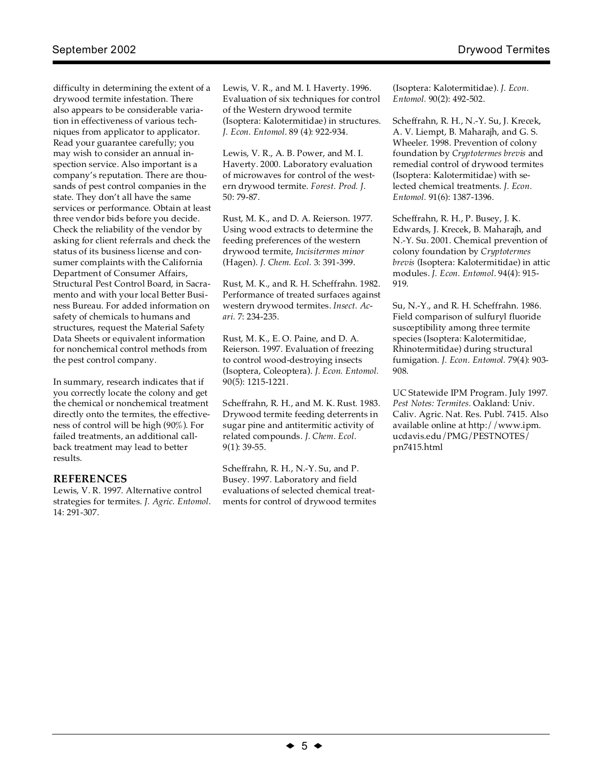difficulty in determining the extent of a drywood termite infestation. There also appears to be considerable variation in effectiveness of various techniques from applicator to applicator. Read your guarantee carefully; you may wish to consider an annual inspection service. Also important is a company's reputation. There are thousands of pest control companies in the state. They don't all have the same services or performance. Obtain at least three vendor bids before you decide. Check the reliability of the vendor by asking for client referrals and check the status of its business license and consumer complaints with the California Department of Consumer Affairs, Structural Pest Control Board, in Sacramento and with your local Better Business Bureau. For added information on safety of chemicals to humans and structures, request the Material Safety Data Sheets or equivalent information for nonchemical control methods from the pest control company.

In summary, research indicates that if you correctly locate the colony and get the chemical or nonchemical treatment directly onto the termites, the effectiveness of control will be high (90%). For failed treatments, an additional callback treatment may lead to better results.

## **REFERENCES**

Lewis, V. R. 1997. Alternative control strategies for termites. *J. Agric. Entomol*. 14: 291-307.

Lewis, V. R., and M. I. Haverty. 1996. Evaluation of six techniques for control of the Western drywood termite (Isoptera: Kalotermitidae) in structures. *J. Econ. Entomol*. 89 (4): 922-934.

Lewis, V. R., A. B. Power, and M. I. Haverty. 2000. Laboratory evaluation of microwaves for control of the western drywood termite. *Forest. Prod. J*. 50: 79-87.

Rust, M. K., and D. A. Reierson. 1977. Using wood extracts to determine the feeding preferences of the western drywood termite, *Incisitermes minor* (Hagen). *J. Chem. Ecol.* 3: 391-399.

Rust, M. K., and R. H. Scheffrahn. 1982. Performance of treated surfaces against western drywood termites. *Insect. Acari.* 7: 234-235.

Rust, M. K., E. O. Paine, and D. A. Reierson. 1997. Evaluation of freezing to control wood-destroying insects (Isoptera, Coleoptera). *J. Econ. Entomol.* 90(5): 1215-1221.

Scheffrahn, R. H., and M. K. Rust. 1983. Drywood termite feeding deterrents in sugar pine and antitermitic activity of related compounds. *J. Chem. Ecol*. 9(1): 39-55.

Scheffrahn, R. H., N.-Y. Su, and P. Busey. 1997. Laboratory and field evaluations of selected chemical treatments for control of drywood termites (Isoptera: Kalotermitidae). *J. Econ. Entomol.* 90(2): 492-502.

Scheffrahn, R. H., N.-Y. Su, J. Krecek, A. V. Liempt, B. Maharajh, and G. S. Wheeler. 1998. Prevention of colony foundation by *Cryptotermes brevis* and remedial control of drywood termites (Isoptera: Kalotermitidae) with selected chemical treatments. *J. Econ. Entomol.* 91(6): 1387-1396.

Scheffrahn, R. H., P. Busey, J. K. Edwards, J. Krecek, B. Maharajh, and N.-Y. Su. 2001. Chemical prevention of colony foundation by *Cryptotermes brevis* (Isoptera: Kalotermitidae) in attic modules. *J. Econ. Entomol*. 94(4): 915- 919.

Su, N.-Y., and R. H. Scheffrahn. 1986. Field comparison of sulfuryl fluoride susceptibility among three termite species (Isoptera: Kalotermitidae, Rhinotermitidae) during structural fumigation. *J. Econ. Entomol.* 79(4): 903- 908.

UC Statewide IPM Program. July 1997. *Pest Notes: Termites.* Oakland: Univ. Caliv. Agric. Nat. Res. Publ. 7415. Also available online at http://www.ipm. ucdavis.edu/PMG/PESTNOTES/ pn7415.html